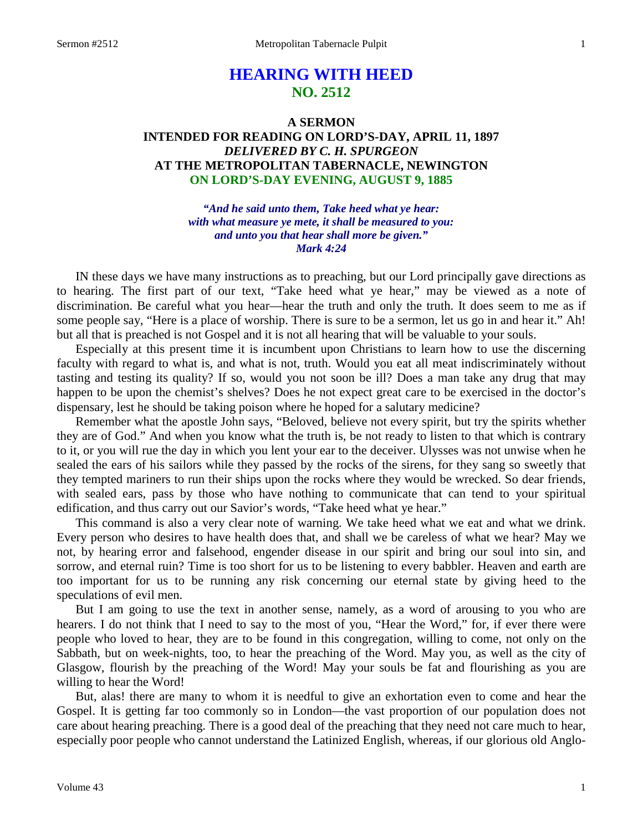# **HEARING WITH HEED NO. 2512**

# **A SERMON INTENDED FOR READING ON LORD'S-DAY, APRIL 11, 1897** *DELIVERED BY C. H. SPURGEON* **AT THE METROPOLITAN TABERNACLE, NEWINGTON ON LORD'S-DAY EVENING, AUGUST 9, 1885**

*"And he said unto them, Take heed what ye hear: with what measure ye mete, it shall be measured to you: and unto you that hear shall more be given." Mark 4:24*

IN these days we have many instructions as to preaching, but our Lord principally gave directions as to hearing. The first part of our text, "Take heed what ye hear," may be viewed as a note of discrimination. Be careful what you hear—hear the truth and only the truth. It does seem to me as if some people say, "Here is a place of worship. There is sure to be a sermon, let us go in and hear it." Ah! but all that is preached is not Gospel and it is not all hearing that will be valuable to your souls.

Especially at this present time it is incumbent upon Christians to learn how to use the discerning faculty with regard to what is, and what is not, truth. Would you eat all meat indiscriminately without tasting and testing its quality? If so, would you not soon be ill? Does a man take any drug that may happen to be upon the chemist's shelves? Does he not expect great care to be exercised in the doctor's dispensary, lest he should be taking poison where he hoped for a salutary medicine?

Remember what the apostle John says, "Beloved, believe not every spirit, but try the spirits whether they are of God." And when you know what the truth is, be not ready to listen to that which is contrary to it, or you will rue the day in which you lent your ear to the deceiver. Ulysses was not unwise when he sealed the ears of his sailors while they passed by the rocks of the sirens, for they sang so sweetly that they tempted mariners to run their ships upon the rocks where they would be wrecked. So dear friends, with sealed ears, pass by those who have nothing to communicate that can tend to your spiritual edification, and thus carry out our Savior's words, "Take heed what ye hear."

This command is also a very clear note of warning. We take heed what we eat and what we drink. Every person who desires to have health does that, and shall we be careless of what we hear? May we not, by hearing error and falsehood, engender disease in our spirit and bring our soul into sin, and sorrow, and eternal ruin? Time is too short for us to be listening to every babbler. Heaven and earth are too important for us to be running any risk concerning our eternal state by giving heed to the speculations of evil men.

But I am going to use the text in another sense, namely, as a word of arousing to you who are hearers. I do not think that I need to say to the most of you, "Hear the Word," for, if ever there were people who loved to hear, they are to be found in this congregation, willing to come, not only on the Sabbath, but on week-nights, too, to hear the preaching of the Word. May you, as well as the city of Glasgow, flourish by the preaching of the Word! May your souls be fat and flourishing as you are willing to hear the Word!

But, alas! there are many to whom it is needful to give an exhortation even to come and hear the Gospel. It is getting far too commonly so in London—the vast proportion of our population does not care about hearing preaching. There is a good deal of the preaching that they need not care much to hear, especially poor people who cannot understand the Latinized English, whereas, if our glorious old Anglo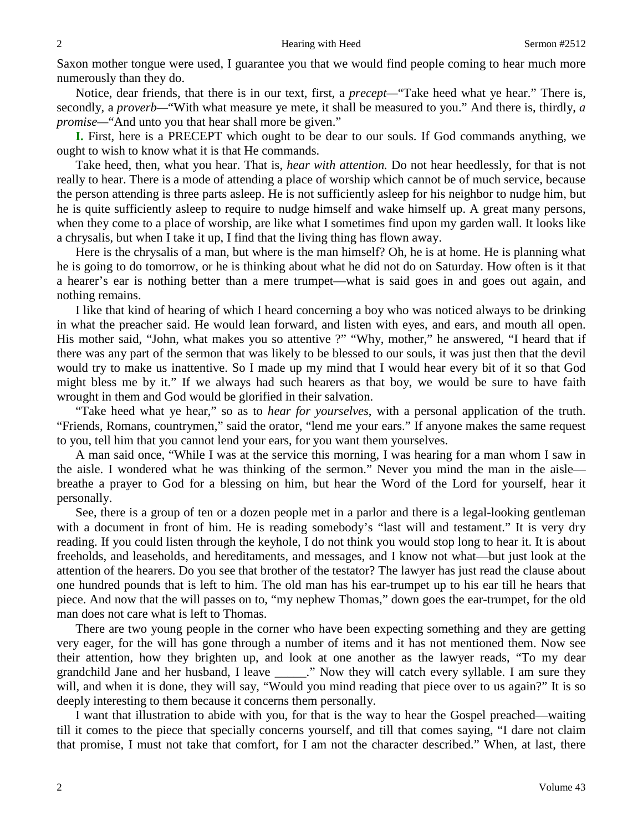Saxon mother tongue were used, I guarantee you that we would find people coming to hear much more numerously than they do.

Notice, dear friends, that there is in our text, first, a *precept—*"Take heed what ye hear." There is, secondly, a *proverb—*"With what measure ye mete, it shall be measured to you." And there is, thirdly, *a promise—*"And unto you that hear shall more be given."

**I.** First, here is a PRECEPT which ought to be dear to our souls. If God commands anything, we ought to wish to know what it is that He commands.

Take heed, then, what you hear. That is, *hear with attention.* Do not hear heedlessly, for that is not really to hear. There is a mode of attending a place of worship which cannot be of much service, because the person attending is three parts asleep. He is not sufficiently asleep for his neighbor to nudge him, but he is quite sufficiently asleep to require to nudge himself and wake himself up. A great many persons, when they come to a place of worship, are like what I sometimes find upon my garden wall. It looks like a chrysalis, but when I take it up, I find that the living thing has flown away.

Here is the chrysalis of a man, but where is the man himself? Oh, he is at home. He is planning what he is going to do tomorrow, or he is thinking about what he did not do on Saturday. How often is it that a hearer's ear is nothing better than a mere trumpet—what is said goes in and goes out again, and nothing remains.

I like that kind of hearing of which I heard concerning a boy who was noticed always to be drinking in what the preacher said. He would lean forward, and listen with eyes, and ears, and mouth all open. His mother said, "John, what makes you so attentive ?" "Why, mother," he answered, "I heard that if there was any part of the sermon that was likely to be blessed to our souls, it was just then that the devil would try to make us inattentive. So I made up my mind that I would hear every bit of it so that God might bless me by it." If we always had such hearers as that boy, we would be sure to have faith wrought in them and God would be glorified in their salvation.

"Take heed what ye hear," so as to *hear for yourselves*, with a personal application of the truth. "Friends, Romans, countrymen," said the orator, "lend me your ears." If anyone makes the same request to you, tell him that you cannot lend your ears, for you want them yourselves.

A man said once, "While I was at the service this morning, I was hearing for a man whom I saw in the aisle. I wondered what he was thinking of the sermon." Never you mind the man in the aisle breathe a prayer to God for a blessing on him, but hear the Word of the Lord for yourself, hear it personally.

See, there is a group of ten or a dozen people met in a parlor and there is a legal-looking gentleman with a document in front of him. He is reading somebody's "last will and testament." It is very dry reading. If you could listen through the keyhole, I do not think you would stop long to hear it. It is about freeholds, and leaseholds, and hereditaments, and messages, and I know not what—but just look at the attention of the hearers. Do you see that brother of the testator? The lawyer has just read the clause about one hundred pounds that is left to him. The old man has his ear-trumpet up to his ear till he hears that piece. And now that the will passes on to, "my nephew Thomas," down goes the ear-trumpet, for the old man does not care what is left to Thomas.

There are two young people in the corner who have been expecting something and they are getting very eager, for the will has gone through a number of items and it has not mentioned them. Now see their attention, how they brighten up, and look at one another as the lawyer reads, "To my dear grandchild Jane and her husband, I leave \_\_\_\_\_." Now they will catch every syllable. I am sure they will, and when it is done, they will say, "Would you mind reading that piece over to us again?" It is so deeply interesting to them because it concerns them personally.

I want that illustration to abide with you, for that is the way to hear the Gospel preached—waiting till it comes to the piece that specially concerns yourself, and till that comes saying, "I dare not claim that promise, I must not take that comfort, for I am not the character described." When, at last, there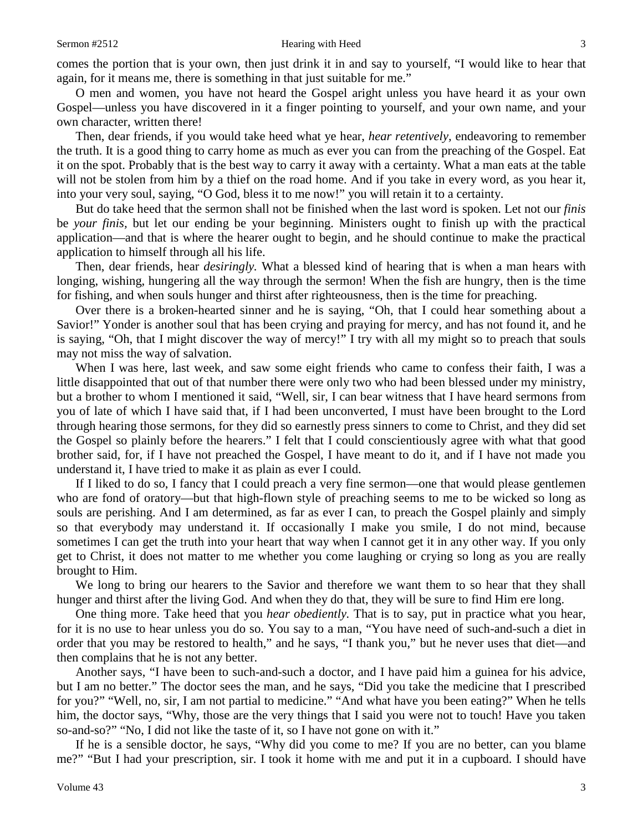comes the portion that is your own, then just drink it in and say to yourself, "I would like to hear that again, for it means me, there is something in that just suitable for me."

O men and women, you have not heard the Gospel aright unless you have heard it as your own Gospel—unless you have discovered in it a finger pointing to yourself, and your own name, and your own character, written there!

Then, dear friends, if you would take heed what ye hear, *hear retentively,* endeavoring to remember the truth. It is a good thing to carry home as much as ever you can from the preaching of the Gospel. Eat it on the spot. Probably that is the best way to carry it away with a certainty. What a man eats at the table will not be stolen from him by a thief on the road home. And if you take in every word, as you hear it, into your very soul, saying, "O God, bless it to me now!" you will retain it to a certainty.

But do take heed that the sermon shall not be finished when the last word is spoken. Let not our *finis*  be *your finis,* but let our ending be your beginning. Ministers ought to finish up with the practical application—and that is where the hearer ought to begin, and he should continue to make the practical application to himself through all his life.

Then, dear friends, hear *desiringly.* What a blessed kind of hearing that is when a man hears with longing, wishing, hungering all the way through the sermon! When the fish are hungry, then is the time for fishing, and when souls hunger and thirst after righteousness, then is the time for preaching.

Over there is a broken-hearted sinner and he is saying, "Oh, that I could hear something about a Savior!" Yonder is another soul that has been crying and praying for mercy, and has not found it, and he is saying, "Oh, that I might discover the way of mercy!" I try with all my might so to preach that souls may not miss the way of salvation.

When I was here, last week, and saw some eight friends who came to confess their faith, I was a little disappointed that out of that number there were only two who had been blessed under my ministry, but a brother to whom I mentioned it said, "Well, sir, I can bear witness that I have heard sermons from you of late of which I have said that, if I had been unconverted, I must have been brought to the Lord through hearing those sermons, for they did so earnestly press sinners to come to Christ, and they did set the Gospel so plainly before the hearers." I felt that I could conscientiously agree with what that good brother said, for, if I have not preached the Gospel, I have meant to do it, and if I have not made you understand it, I have tried to make it as plain as ever I could.

If I liked to do so, I fancy that I could preach a very fine sermon—one that would please gentlemen who are fond of oratory—but that high-flown style of preaching seems to me to be wicked so long as souls are perishing. And I am determined, as far as ever I can, to preach the Gospel plainly and simply so that everybody may understand it. If occasionally I make you smile, I do not mind, because sometimes I can get the truth into your heart that way when I cannot get it in any other way. If you only get to Christ, it does not matter to me whether you come laughing or crying so long as you are really brought to Him.

We long to bring our hearers to the Savior and therefore we want them to so hear that they shall hunger and thirst after the living God. And when they do that, they will be sure to find Him ere long.

One thing more. Take heed that you *hear obediently.* That is to say, put in practice what you hear, for it is no use to hear unless you do so. You say to a man, "You have need of such-and-such a diet in order that you may be restored to health," and he says, "I thank you," but he never uses that diet—and then complains that he is not any better.

Another says, "I have been to such-and-such a doctor, and I have paid him a guinea for his advice, but I am no better." The doctor sees the man, and he says, "Did you take the medicine that I prescribed for you?" "Well, no, sir, I am not partial to medicine." "And what have you been eating?" When he tells him, the doctor says, "Why, those are the very things that I said you were not to touch! Have you taken so-and-so?" "No, I did not like the taste of it, so I have not gone on with it."

If he is a sensible doctor, he says, "Why did you come to me? If you are no better, can you blame me?" "But I had your prescription, sir. I took it home with me and put it in a cupboard. I should have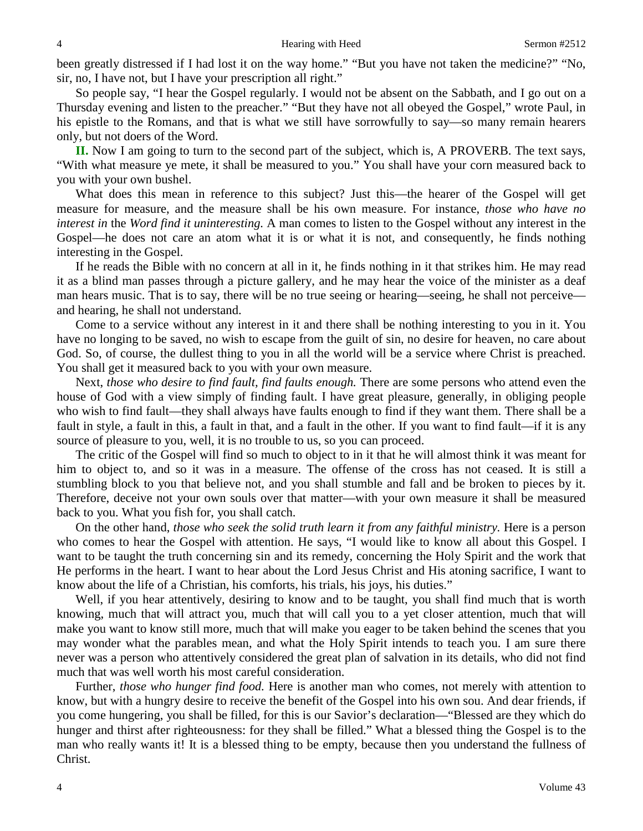been greatly distressed if I had lost it on the way home." "But you have not taken the medicine?" "No, sir, no, I have not, but I have your prescription all right."

So people say, "I hear the Gospel regularly. I would not be absent on the Sabbath, and I go out on a Thursday evening and listen to the preacher." "But they have not all obeyed the Gospel," wrote Paul, in his epistle to the Romans, and that is what we still have sorrowfully to say—so many remain hearers only, but not doers of the Word.

**II.** Now I am going to turn to the second part of the subject, which is, A PROVERB. The text says, "With what measure ye mete, it shall be measured to you." You shall have your corn measured back to you with your own bushel.

What does this mean in reference to this subject? Just this—the hearer of the Gospel will get measure for measure, and the measure shall be his own measure. For instance, *those who have no interest in* the *Word find it uninteresting.* A man comes to listen to the Gospel without any interest in the Gospel—he does not care an atom what it is or what it is not, and consequently, he finds nothing interesting in the Gospel.

If he reads the Bible with no concern at all in it, he finds nothing in it that strikes him. He may read it as a blind man passes through a picture gallery, and he may hear the voice of the minister as a deaf man hears music. That is to say, there will be no true seeing or hearing—seeing, he shall not perceive and hearing, he shall not understand.

Come to a service without any interest in it and there shall be nothing interesting to you in it. You have no longing to be saved, no wish to escape from the guilt of sin, no desire for heaven, no care about God. So, of course, the dullest thing to you in all the world will be a service where Christ is preached. You shall get it measured back to you with your own measure.

Next, *those who desire to find fault, find faults enough.* There are some persons who attend even the house of God with a view simply of finding fault. I have great pleasure, generally, in obliging people who wish to find fault—they shall always have faults enough to find if they want them. There shall be a fault in style, a fault in this, a fault in that, and a fault in the other. If you want to find fault—if it is any source of pleasure to you, well, it is no trouble to us, so you can proceed.

The critic of the Gospel will find so much to object to in it that he will almost think it was meant for him to object to, and so it was in a measure. The offense of the cross has not ceased. It is still a stumbling block to you that believe not, and you shall stumble and fall and be broken to pieces by it. Therefore, deceive not your own souls over that matter—with your own measure it shall be measured back to you. What you fish for, you shall catch.

On the other hand, *those who seek the solid truth learn it from any faithful ministry.* Here is a person who comes to hear the Gospel with attention. He says, "I would like to know all about this Gospel. I want to be taught the truth concerning sin and its remedy, concerning the Holy Spirit and the work that He performs in the heart. I want to hear about the Lord Jesus Christ and His atoning sacrifice, I want to know about the life of a Christian, his comforts, his trials, his joys, his duties."

Well, if you hear attentively, desiring to know and to be taught, you shall find much that is worth knowing, much that will attract you, much that will call you to a yet closer attention, much that will make you want to know still more, much that will make you eager to be taken behind the scenes that you may wonder what the parables mean, and what the Holy Spirit intends to teach you. I am sure there never was a person who attentively considered the great plan of salvation in its details, who did not find much that was well worth his most careful consideration.

Further, *those who hunger find food.* Here is another man who comes, not merely with attention to know, but with a hungry desire to receive the benefit of the Gospel into his own sou. And dear friends, if you come hungering, you shall be filled, for this is our Savior's declaration—"Blessed are they which do hunger and thirst after righteousness: for they shall be filled." What a blessed thing the Gospel is to the man who really wants it! It is a blessed thing to be empty, because then you understand the fullness of Christ.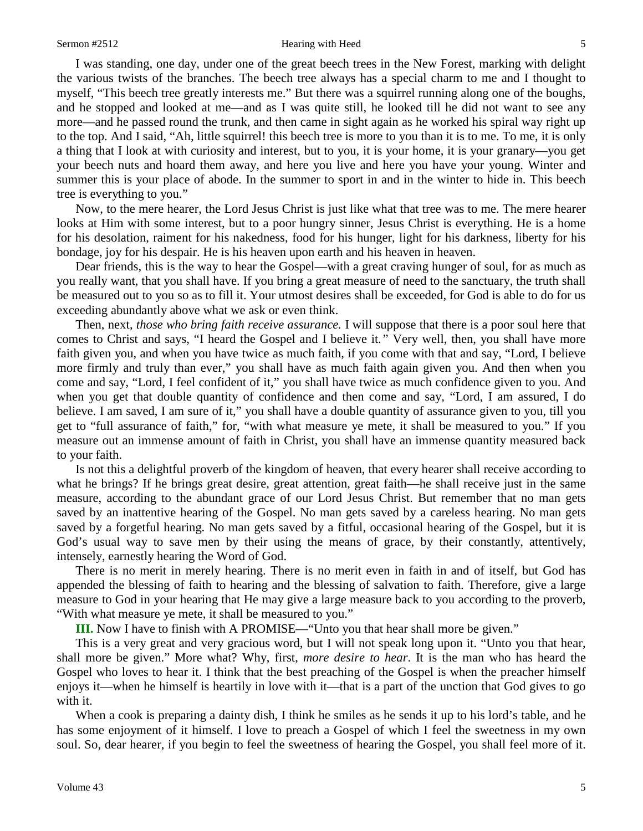#### Sermon #2512 **Hearing with Heed** 5

I was standing, one day, under one of the great beech trees in the New Forest, marking with delight the various twists of the branches. The beech tree always has a special charm to me and I thought to myself, "This beech tree greatly interests me." But there was a squirrel running along one of the boughs, and he stopped and looked at me—and as I was quite still, he looked till he did not want to see any more—and he passed round the trunk, and then came in sight again as he worked his spiral way right up to the top. And I said, "Ah, little squirrel! this beech tree is more to you than it is to me. To me, it is only a thing that I look at with curiosity and interest, but to you, it is your home, it is your granary—you get your beech nuts and hoard them away, and here you live and here you have your young. Winter and summer this is your place of abode. In the summer to sport in and in the winter to hide in. This beech tree is everything to you."

Now, to the mere hearer, the Lord Jesus Christ is just like what that tree was to me. The mere hearer looks at Him with some interest, but to a poor hungry sinner, Jesus Christ is everything. He is a home for his desolation, raiment for his nakedness, food for his hunger, light for his darkness, liberty for his bondage, joy for his despair. He is his heaven upon earth and his heaven in heaven.

Dear friends, this is the way to hear the Gospel—with a great craving hunger of soul, for as much as you really want, that you shall have. If you bring a great measure of need to the sanctuary, the truth shall be measured out to you so as to fill it. Your utmost desires shall be exceeded, for God is able to do for us exceeding abundantly above what we ask or even think.

Then, next, *those who bring faith receive assurance.* I will suppose that there is a poor soul here that comes to Christ and says, "I heard the Gospel and I believe it*."* Very well, then, you shall have more faith given you, and when you have twice as much faith, if you come with that and say, "Lord, I believe more firmly and truly than ever," you shall have as much faith again given you. And then when you come and say, "Lord, I feel confident of it," you shall have twice as much confidence given to you. And when you get that double quantity of confidence and then come and say, "Lord, I am assured, I do believe. I am saved, I am sure of it," you shall have a double quantity of assurance given to you, till you get to "full assurance of faith," for, "with what measure ye mete, it shall be measured to you." If you measure out an immense amount of faith in Christ, you shall have an immense quantity measured back to your faith.

Is not this a delightful proverb of the kingdom of heaven, that every hearer shall receive according to what he brings? If he brings great desire, great attention, great faith—he shall receive just in the same measure, according to the abundant grace of our Lord Jesus Christ. But remember that no man gets saved by an inattentive hearing of the Gospel. No man gets saved by a careless hearing. No man gets saved by a forgetful hearing. No man gets saved by a fitful, occasional hearing of the Gospel, but it is God's usual way to save men by their using the means of grace, by their constantly, attentively, intensely, earnestly hearing the Word of God.

There is no merit in merely hearing. There is no merit even in faith in and of itself, but God has appended the blessing of faith to hearing and the blessing of salvation to faith. Therefore, give a large measure to God in your hearing that He may give a large measure back to you according to the proverb, "With what measure ye mete, it shall be measured to you."

**III.** Now I have to finish with A PROMISE—"Unto you that hear shall more be given."

This is a very great and very gracious word, but I will not speak long upon it. "Unto you that hear, shall more be given." More what? Why, first, *more desire to hear*. It is the man who has heard the Gospel who loves to hear it. I think that the best preaching of the Gospel is when the preacher himself enjoys it—when he himself is heartily in love with it—that is a part of the unction that God gives to go with it.

When a cook is preparing a dainty dish, I think he smiles as he sends it up to his lord's table, and he has some enjoyment of it himself. I love to preach a Gospel of which I feel the sweetness in my own soul. So, dear hearer, if you begin to feel the sweetness of hearing the Gospel, you shall feel more of it.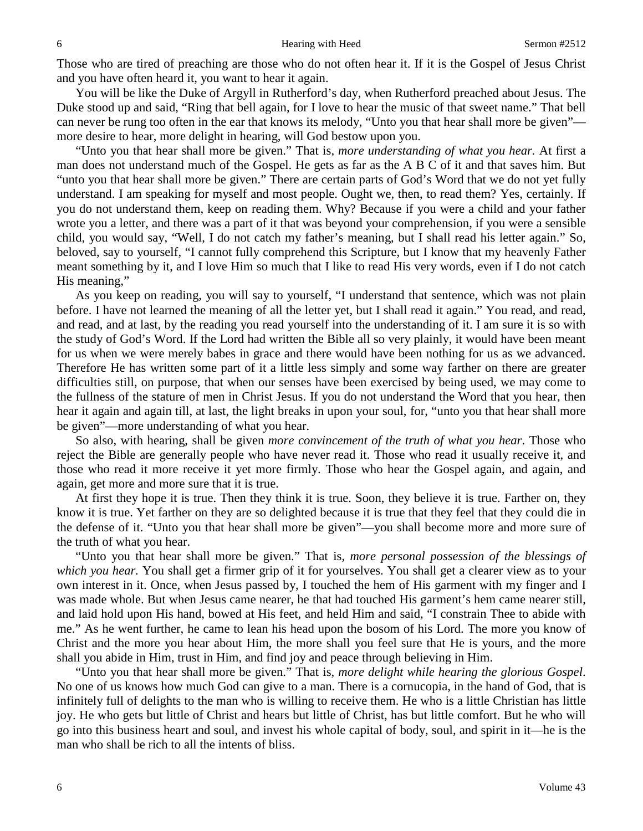Those who are tired of preaching are those who do not often hear it. If it is the Gospel of Jesus Christ and you have often heard it, you want to hear it again.

You will be like the Duke of Argyll in Rutherford's day, when Rutherford preached about Jesus. The Duke stood up and said, "Ring that bell again, for I love to hear the music of that sweet name." That bell can never be rung too often in the ear that knows its melody, "Unto you that hear shall more be given" more desire to hear, more delight in hearing, will God bestow upon you.

"Unto you that hear shall more be given." That is, *more understanding of what you hear.* At first a man does not understand much of the Gospel. He gets as far as the A B C of it and that saves him. But "unto you that hear shall more be given." There are certain parts of God's Word that we do not yet fully understand. I am speaking for myself and most people. Ought we, then, to read them? Yes, certainly. If you do not understand them, keep on reading them. Why? Because if you were a child and your father wrote you a letter, and there was a part of it that was beyond your comprehension, if you were a sensible child, you would say, "Well, I do not catch my father's meaning, but I shall read his letter again." So, beloved, say to yourself, "I cannot fully comprehend this Scripture, but I know that my heavenly Father meant something by it, and I love Him so much that I like to read His very words, even if I do not catch His meaning,"

As you keep on reading, you will say to yourself, "I understand that sentence, which was not plain before. I have not learned the meaning of all the letter yet, but I shall read it again." You read, and read, and read, and at last, by the reading you read yourself into the understanding of it. I am sure it is so with the study of God's Word. If the Lord had written the Bible all so very plainly, it would have been meant for us when we were merely babes in grace and there would have been nothing for us as we advanced. Therefore He has written some part of it a little less simply and some way farther on there are greater difficulties still, on purpose, that when our senses have been exercised by being used, we may come to the fullness of the stature of men in Christ Jesus. If you do not understand the Word that you hear, then hear it again and again till, at last, the light breaks in upon your soul, for, "unto you that hear shall more be given"—more understanding of what you hear.

So also, with hearing, shall be given *more convincement of the truth of what you hear*. Those who reject the Bible are generally people who have never read it. Those who read it usually receive it, and those who read it more receive it yet more firmly. Those who hear the Gospel again, and again, and again, get more and more sure that it is true.

At first they hope it is true. Then they think it is true. Soon, they believe it is true. Farther on, they know it is true. Yet farther on they are so delighted because it is true that they feel that they could die in the defense of it. "Unto you that hear shall more be given"—you shall become more and more sure of the truth of what you hear.

"Unto you that hear shall more be given." That is, *more personal possession of the blessings of which you hear.* You shall get a firmer grip of it for yourselves. You shall get a clearer view as to your own interest in it. Once, when Jesus passed by, I touched the hem of His garment with my finger and I was made whole. But when Jesus came nearer, he that had touched His garment's hem came nearer still, and laid hold upon His hand, bowed at His feet, and held Him and said, "I constrain Thee to abide with me." As he went further, he came to lean his head upon the bosom of his Lord. The more you know of Christ and the more you hear about Him, the more shall you feel sure that He is yours, and the more shall you abide in Him, trust in Him, and find joy and peace through believing in Him.

"Unto you that hear shall more be given." That is, *more delight while hearing the glorious Gospel*. No one of us knows how much God can give to a man. There is a cornucopia, in the hand of God, that is infinitely full of delights to the man who is willing to receive them. He who is a little Christian has little joy. He who gets but little of Christ and hears but little of Christ, has but little comfort. But he who will go into this business heart and soul, and invest his whole capital of body, soul, and spirit in it—he is the man who shall be rich to all the intents of bliss.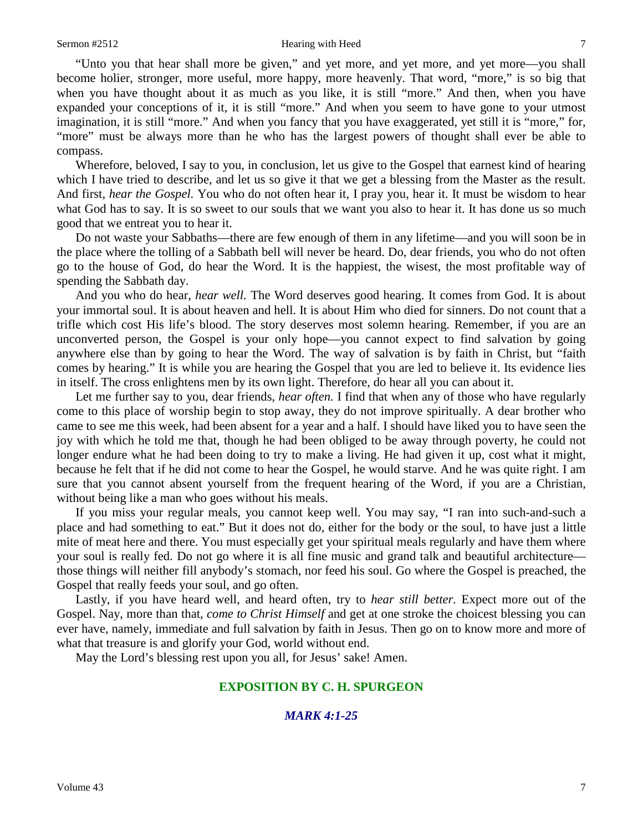"Unto you that hear shall more be given," and yet more, and yet more, and yet more—you shall become holier, stronger, more useful, more happy, more heavenly. That word, "more," is so big that when you have thought about it as much as you like, it is still "more." And then, when you have expanded your conceptions of it, it is still "more." And when you seem to have gone to your utmost imagination, it is still "more." And when you fancy that you have exaggerated, yet still it is "more," for, "more" must be always more than he who has the largest powers of thought shall ever be able to compass.

Wherefore, beloved, I say to you, in conclusion, let us give to the Gospel that earnest kind of hearing which I have tried to describe, and let us so give it that we get a blessing from the Master as the result. And first, *hear the Gospel.* You who do not often hear it, I pray you, hear it. It must be wisdom to hear what God has to say. It is so sweet to our souls that we want you also to hear it. It has done us so much good that we entreat you to hear it.

Do not waste your Sabbaths—there are few enough of them in any lifetime—and you will soon be in the place where the tolling of a Sabbath bell will never be heard. Do, dear friends, you who do not often go to the house of God, do hear the Word. It is the happiest, the wisest, the most profitable way of spending the Sabbath day.

And you who do hear, *hear well.* The Word deserves good hearing. It comes from God. It is about your immortal soul. It is about heaven and hell. It is about Him who died for sinners. Do not count that a trifle which cost His life's blood. The story deserves most solemn hearing. Remember, if you are an unconverted person, the Gospel is your only hope—you cannot expect to find salvation by going anywhere else than by going to hear the Word. The way of salvation is by faith in Christ, but "faith comes by hearing." It is while you are hearing the Gospel that you are led to believe it. Its evidence lies in itself. The cross enlightens men by its own light. Therefore, do hear all you can about it.

Let me further say to you, dear friends, *hear often.* I find that when any of those who have regularly come to this place of worship begin to stop away, they do not improve spiritually. A dear brother who came to see me this week, had been absent for a year and a half. I should have liked you to have seen the joy with which he told me that, though he had been obliged to be away through poverty, he could not longer endure what he had been doing to try to make a living. He had given it up, cost what it might, because he felt that if he did not come to hear the Gospel, he would starve. And he was quite right. I am sure that you cannot absent yourself from the frequent hearing of the Word, if you are a Christian, without being like a man who goes without his meals.

If you miss your regular meals, you cannot keep well. You may say, "I ran into such-and-such a place and had something to eat." But it does not do, either for the body or the soul, to have just a little mite of meat here and there. You must especially get your spiritual meals regularly and have them where your soul is really fed. Do not go where it is all fine music and grand talk and beautiful architecture those things will neither fill anybody's stomach, nor feed his soul. Go where the Gospel is preached, the Gospel that really feeds your soul, and go often.

Lastly, if you have heard well, and heard often, try to *hear still better.* Expect more out of the Gospel. Nay, more than that, *come to Christ Himself* and get at one stroke the choicest blessing you can ever have, namely, immediate and full salvation by faith in Jesus. Then go on to know more and more of what that treasure is and glorify your God, world without end.

May the Lord's blessing rest upon you all, for Jesus' sake! Amen.

### **EXPOSITION BY C. H. SPURGEON**

# *MARK 4:1-25*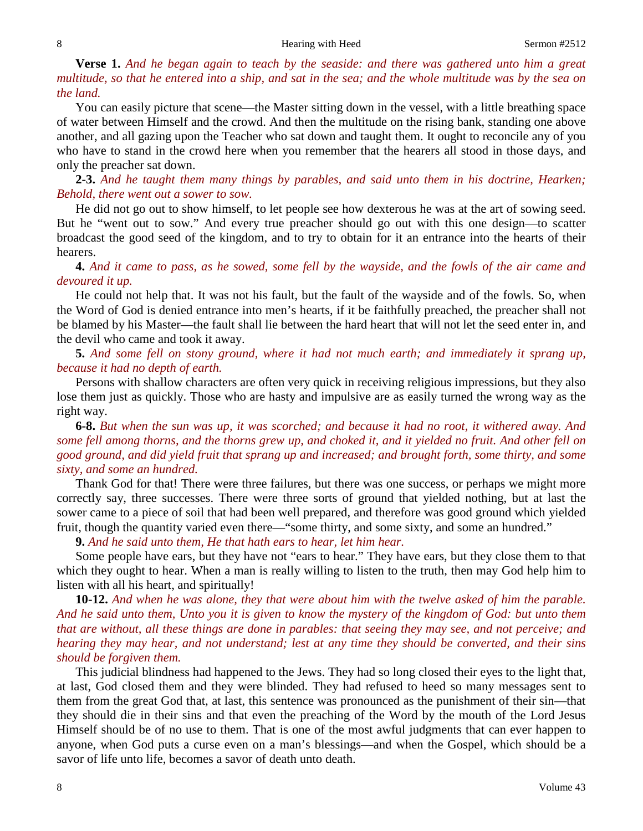**Verse 1.** *And he began again to teach by the seaside: and there was gathered unto him a great multitude, so that he entered into a ship, and sat in the sea; and the whole multitude was by the sea on the land.*

You can easily picture that scene—the Master sitting down in the vessel, with a little breathing space of water between Himself and the crowd. And then the multitude on the rising bank, standing one above another, and all gazing upon the Teacher who sat down and taught them. It ought to reconcile any of you who have to stand in the crowd here when you remember that the hearers all stood in those days, and only the preacher sat down.

**2-3.** *And he taught them many things by parables, and said unto them in his doctrine, Hearken; Behold, there went out a sower to sow.*

He did not go out to show himself, to let people see how dexterous he was at the art of sowing seed. But he "went out to sow." And every true preacher should go out with this one design—to scatter broadcast the good seed of the kingdom, and to try to obtain for it an entrance into the hearts of their hearers.

**4.** *And it came to pass, as he sowed, some fell by the wayside, and the fowls of the air came and devoured it up.*

He could not help that. It was not his fault, but the fault of the wayside and of the fowls. So, when the Word of God is denied entrance into men's hearts, if it be faithfully preached, the preacher shall not be blamed by his Master—the fault shall lie between the hard heart that will not let the seed enter in, and the devil who came and took it away.

**5.** *And some fell on stony ground, where it had not much earth; and immediately it sprang up, because it had no depth of earth.*

Persons with shallow characters are often very quick in receiving religious impressions, but they also lose them just as quickly. Those who are hasty and impulsive are as easily turned the wrong way as the right way.

**6-8.** *But when the sun was up, it was scorched; and because it had no root, it withered away. And some fell among thorns, and the thorns grew up, and choked it, and it yielded no fruit. And other fell on good ground, and did yield fruit that sprang up and increased; and brought forth, some thirty, and some sixty, and some an hundred.* 

Thank God for that! There were three failures, but there was one success, or perhaps we might more correctly say, three successes. There were three sorts of ground that yielded nothing, but at last the sower came to a piece of soil that had been well prepared, and therefore was good ground which yielded fruit, though the quantity varied even there—"some thirty, and some sixty, and some an hundred."

**9.** *And he said unto them, He that hath ears to hear, let him hear.*

Some people have ears, but they have not "ears to hear." They have ears, but they close them to that which they ought to hear. When a man is really willing to listen to the truth, then may God help him to listen with all his heart, and spiritually!

**10-12.** *And when he was alone, they that were about him with the twelve asked of him the parable. And he said unto them, Unto you it is given to know the mystery of the kingdom of God: but unto them that are without, all these things are done in parables: that seeing they may see, and not perceive; and hearing they may hear, and not understand; lest at any time they should be converted, and their sins should be forgiven them.*

This judicial blindness had happened to the Jews. They had so long closed their eyes to the light that, at last, God closed them and they were blinded. They had refused to heed so many messages sent to them from the great God that, at last, this sentence was pronounced as the punishment of their sin—that they should die in their sins and that even the preaching of the Word by the mouth of the Lord Jesus Himself should be of no use to them. That is one of the most awful judgments that can ever happen to anyone, when God puts a curse even on a man's blessings—and when the Gospel, which should be a savor of life unto life, becomes a savor of death unto death.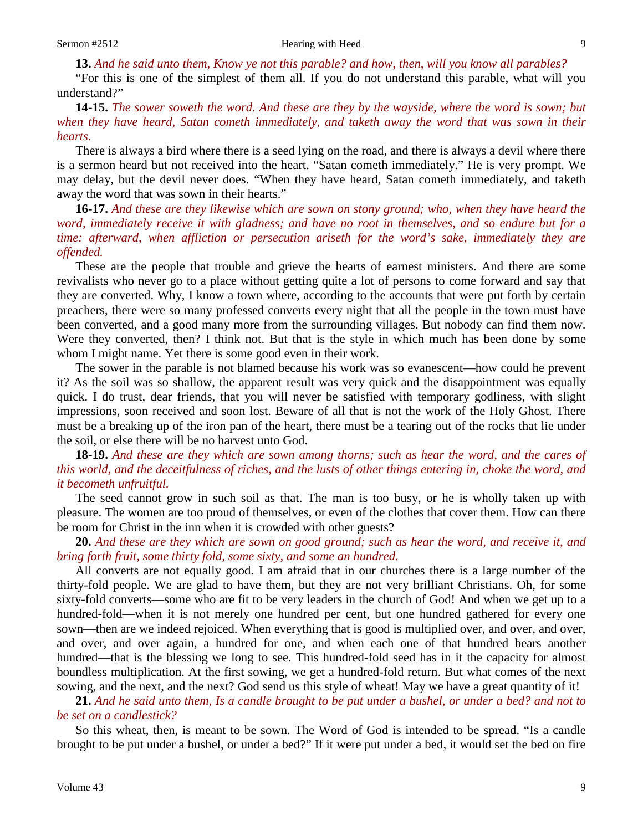**13.** *And he said unto them, Know ye not this parable? and how, then, will you know all parables?* 

"For this is one of the simplest of them all. If you do not understand this parable, what will you understand?"

### **14-15.** *The sower soweth the word. And these are they by the wayside, where the word is sown; but when they have heard, Satan cometh immediately, and taketh away the word that was sown in their hearts.*

There is always a bird where there is a seed lying on the road, and there is always a devil where there is a sermon heard but not received into the heart. "Satan cometh immediately." He is very prompt. We may delay, but the devil never does. "When they have heard, Satan cometh immediately, and taketh away the word that was sown in their hearts."

**16-17.** *And these are they likewise which are sown on stony ground; who, when they have heard the word, immediately receive it with gladness; and have no root in themselves, and so endure but for a time: afterward, when affliction or persecution ariseth for the word's sake, immediately they are offended.* 

These are the people that trouble and grieve the hearts of earnest ministers. And there are some revivalists who never go to a place without getting quite a lot of persons to come forward and say that they are converted. Why, I know a town where, according to the accounts that were put forth by certain preachers, there were so many professed converts every night that all the people in the town must have been converted, and a good many more from the surrounding villages. But nobody can find them now. Were they converted, then? I think not. But that is the style in which much has been done by some whom I might name. Yet there is some good even in their work.

The sower in the parable is not blamed because his work was so evanescent—how could he prevent it? As the soil was so shallow, the apparent result was very quick and the disappointment was equally quick. I do trust, dear friends, that you will never be satisfied with temporary godliness, with slight impressions, soon received and soon lost. Beware of all that is not the work of the Holy Ghost. There must be a breaking up of the iron pan of the heart, there must be a tearing out of the rocks that lie under the soil, or else there will be no harvest unto God.

**18-19.** *And these are they which are sown among thorns; such as hear the word, and the cares of this world, and the deceitfulness of riches, and the lusts of other things entering in, choke the word, and it becometh unfruitful.*

The seed cannot grow in such soil as that. The man is too busy, or he is wholly taken up with pleasure. The women are too proud of themselves, or even of the clothes that cover them. How can there be room for Christ in the inn when it is crowded with other guests?

**20.** *And these are they which are sown on good ground; such as hear the word, and receive it, and bring forth fruit, some thirty fold, some sixty, and some an hundred.* 

All converts are not equally good. I am afraid that in our churches there is a large number of the thirty-fold people. We are glad to have them, but they are not very brilliant Christians. Oh, for some sixty-fold converts—some who are fit to be very leaders in the church of God! And when we get up to a hundred-fold—when it is not merely one hundred per cent, but one hundred gathered for every one sown—then are we indeed rejoiced. When everything that is good is multiplied over, and over, and over, and over, and over again, a hundred for one, and when each one of that hundred bears another hundred—that is the blessing we long to see. This hundred-fold seed has in it the capacity for almost boundless multiplication. At the first sowing, we get a hundred-fold return. But what comes of the next sowing, and the next, and the next? God send us this style of wheat! May we have a great quantity of it!

**21.** *And he said unto them, Is a candle brought to be put under a bushel, or under a bed? and not to be set on a candlestick?*

So this wheat, then, is meant to be sown. The Word of God is intended to be spread. "Is a candle brought to be put under a bushel, or under a bed?" If it were put under a bed, it would set the bed on fire